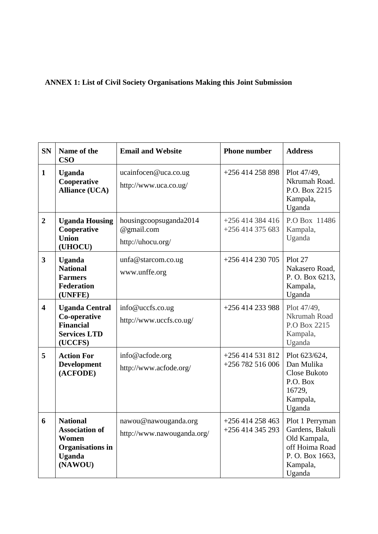## **ANNEX 1: List of Civil Society Organisations Making this Joint Submission**

| <b>SN</b>               | Name of the<br><b>CSO</b>                                                                                | <b>Email and Website</b>                                  | <b>Phone number</b>                 | <b>Address</b>                                                                                               |
|-------------------------|----------------------------------------------------------------------------------------------------------|-----------------------------------------------------------|-------------------------------------|--------------------------------------------------------------------------------------------------------------|
| $\mathbf{1}$            | <b>Uganda</b><br>Cooperative<br><b>Alliance (UCA)</b>                                                    | ucainfocen@uca.co.ug<br>http://www.uca.co.ug/             | $+256414258898$                     | Plot 47/49,<br>Nkrumah Road.<br>P.O. Box 2215<br>Kampala,<br>Uganda                                          |
| $\overline{2}$          | <b>Uganda Housing</b><br>Cooperative<br><b>Union</b><br>(UHOCU)                                          | housingcoopsuganda2014<br>@gmail.com<br>http://uhocu.org/ | $+256414384416$<br>$+256414375683$  | P.O Box 11486<br>Kampala,<br>Uganda                                                                          |
| $\overline{\mathbf{3}}$ | <b>Uganda</b><br><b>National</b><br><b>Farmers</b><br><b>Federation</b><br>(UNFFE)                       | unfa@starcom.co.ug<br>www.unffe.org                       | +256 414 230 705                    | Plot 27<br>Nakasero Road,<br>P.O. Box 6213,<br>Kampala,<br>Uganda                                            |
| $\overline{\mathbf{4}}$ | <b>Uganda Central</b><br>Co-operative<br><b>Financial</b><br><b>Services LTD</b><br>(UCCFS)              | info@uccfs.co.ug<br>http://www.uccfs.co.ug/               | +256 414 233 988                    | Plot 47/49,<br>Nkrumah Road<br>P.O Box 2215<br>Kampala,<br>Uganda                                            |
| 5                       | <b>Action For</b><br><b>Development</b><br>(ACFODE)                                                      | info@acfode.org<br>http://www.acfode.org/                 | $+256414531812$<br>$+256782516006$  | Plot 623/624,<br>Dan Mulika<br>Close Bukoto<br>P.O. Box<br>16729,<br>Kampala,<br>Uganda                      |
| 6                       | <b>National</b><br><b>Association of</b><br>Women<br><b>Organisations in</b><br><b>Uganda</b><br>(NAWOU) | nawou@nawouganda.org<br>http://www.nawouganda.org/        | $+256414258463$<br>+256 414 345 293 | Plot 1 Perryman<br>Gardens, Bakuli<br>Old Kampala,<br>off Hoima Road<br>P.O. Box 1663,<br>Kampala,<br>Uganda |